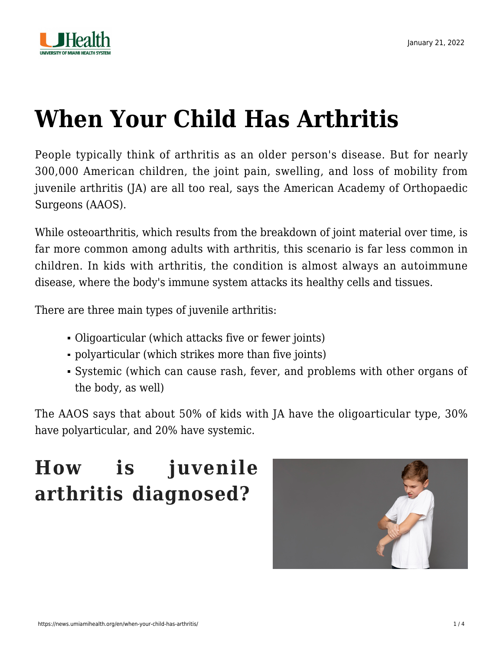

# **[When Your Child Has Arthritis](https://news.umiamihealth.org/en/when-your-child-has-arthritis/)**

People typically think of arthritis as an older person's disease. But for nearly 300,000 American children, the joint pain, swelling, and loss of mobility from juvenile arthritis (JA) are all too real, says the [American Academy of Orthopaedic](https://orthoinfo.aaos.org/en/diseases--conditions/juvenile-arthritis) [Surgeons \(AAOS\).](https://orthoinfo.aaos.org/en/diseases--conditions/juvenile-arthritis)

While osteoarthritis, which results from the breakdown of joint material over time, is far more common among adults with arthritis, this scenario is far less common in children. In kids with arthritis, the condition is almost always an autoimmune disease, where the body's immune system attacks its healthy cells and tissues.

There are three main types of juvenile arthritis:

- Oligoarticular (which attacks five or fewer joints)
- polyarticular (which strikes more than five joints)
- Systemic (which can cause rash, fever, and problems with other organs of the body, as well)

The AAOS says that about 50% of kids with JA have the oligoarticular type, 30% have polyarticular, and 20% have systemic.

## **How is juvenile arthritis diagnosed?**

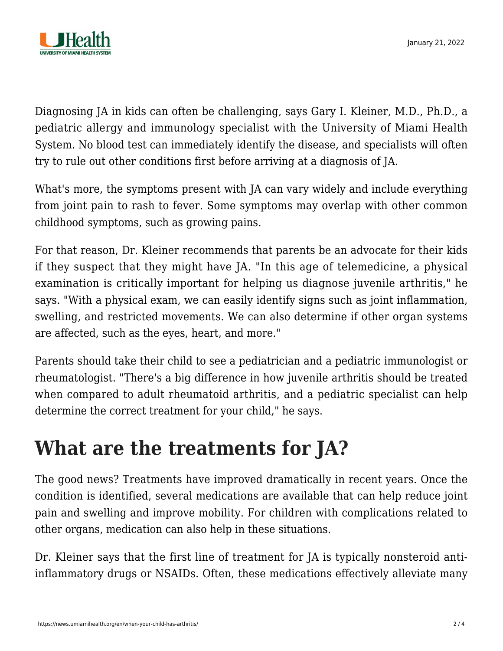

Diagnosing JA in kids can often be challenging, says Gary I. Kleiner, M.D., Ph.D., a pediatric allergy and immunology specialist with the University of Miami Health System. No blood test can immediately identify the disease, and specialists will often try to rule out other conditions first before arriving at a diagnosis of JA.

What's more, the symptoms present with JA can vary widely and include everything from joint pain to rash to fever. Some symptoms may overlap with other common childhood symptoms, such as growing pains.

For that reason, Dr. Kleiner recommends that parents be an advocate for their kids if they suspect that they might have JA. "In this age of telemedicine, a physical examination is critically important for helping us diagnose juvenile arthritis," he says. "With a physical exam, we can easily identify signs such as joint inflammation, swelling, and restricted movements. We can also determine if other organ systems are affected, such as the eyes, heart, and more."

Parents should take their child to see a pediatrician and a pediatric immunologist or rheumatologist. "There's a big difference in how juvenile arthritis should be treated when compared to adult rheumatoid arthritis, and a pediatric specialist can help determine the correct treatment for your child," he says.

### **What are the treatments for JA?**

The good news? Treatments have improved dramatically in recent years. Once the condition is identified, several medications are available that can help reduce joint pain and swelling and improve mobility. For children with complications related to other organs, medication can also help in these situations.

Dr. Kleiner says that the first line of treatment for JA is typically nonsteroid antiinflammatory drugs or NSAIDs. Often, these medications effectively alleviate many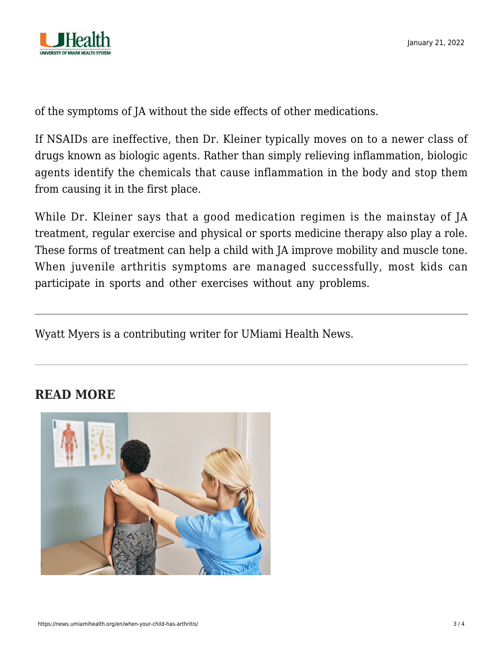

of the symptoms of JA without the side effects of other medications.

If NSAIDs are ineffective, then Dr. Kleiner typically moves on to a newer class of drugs known as biologic agents. Rather than simply relieving inflammation, biologic agents identify the chemicals that cause inflammation in the body and stop them from causing it in the first place.

While Dr. Kleiner says that a good medication regimen is the mainstay of JA treatment, regular exercise and physical or sports medicine therapy also play a role. These forms of treatment can help a child with JA improve mobility and muscle tone. When juvenile arthritis symptoms are managed successfully, most kids can participate in sports and other exercises without any problems.

Wyatt Myers is a contributing writer for UMiami Health News.

#### **READ MORE**